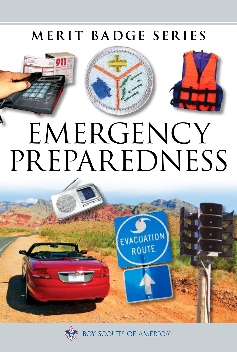## MERIT BADGE SERIES



# PREPAREDNESS

**FVACUATION** ROUTE

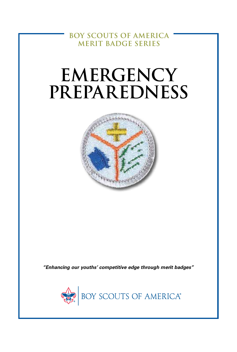**BOY SCOUTS OF AMERICA MERIT BADGE SERIES**

## **EMERGENCY PREPAREDNESS**



*"Enhancing our youths' competitive edge through merit badges"*

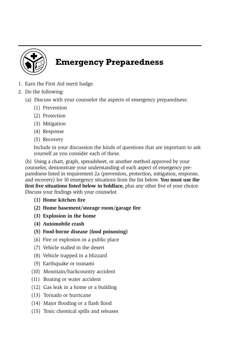

## **Emergency Preparedness**

- 1. Earn the First Aid merit badge.
- 2. Do the following:
	- (a) Discuss with your counselor the aspects of emergency preparedness:
		- (1) Prevention
		- (2) Protection
		- (3) Mitigation
		- (4) Response
		- (5) Recovery

Include in your discussion the kinds of questions that are important to ask yourself as you consider each of these.

(b) Using a chart, graph, spreadsheet, or another method approved by your counselor, demonstrate your understanding of each aspect of emergency preparedness listed in requirement 2a (prevention, protection, mitigation, response, and recovery) for 10 emergency situations from the list below. **You must use the first five situations listed below in boldface,** plus any other five of your choice. Discuss your findings with your counselor.

- **(1) Home kitchen fire**
- **(2) Home basement/storage room/garage fire**
- **(3) Explosion in the home**
- **(4) Automobile crash**
- **(5) Food-borne disease (food poisoning)**
- (6) Fire or explosion in a public place
- (7) Vehicle stalled in the desert
- (8) Vehicle trapped in a blizzard
- (9) Earthquake or tsunami
- (10) Mountain/backcountry accident
- (11) Boating or water accident
- (12) Gas leak in a home or a building
- (13) Tornado or hurricane
- (14) Major flooding or a flash flood
- (15) Toxic chemical spills and releases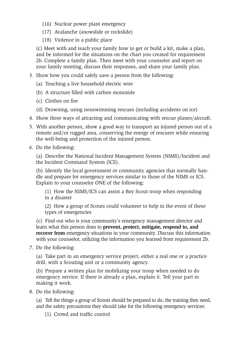- (16) Nuclear power plant emergency
- (17) Avalanche (snowslide or rockslide)
- (18) Violence in a public place

(c) Meet with and teach your family how to get or build a kit, make a plan, and be informed for the situations on the chart you created for requirement 2b. Complete a family plan. Then meet with your counselor and report on your family meeting, discuss their responses, and share your family plan.

- 3. Show how you could safely save a person from the following:
	- (a) Touching a live household electric wire
	- (b) A structure filled with carbon monoxide
	- (c) Clothes on fire
	- (d) Drowning, using nonswimming rescues (including accidents on ice)
- 4. Show three ways of attracting and communicating with rescue planes/aircraft.
- 5. With another person, show a good way to transport an injured person out of a remote and/or rugged area, conserving the energy of rescuers while ensuring the well-being and protection of the injured person.
- 6. Do the following:

(a) Describe the National Incident Management System (NIMS)/Incident and the Incident Command System (ICS).

(b) Identify the local government or community agencies that normally handle and prepare for emergency services similar to those of the NIMS or ICS. Explain to your counselor ONE of the following:

(1) How the NIMS/ICS can assist a Boy Scout troop when responding in a disaster

(2) How a group of Scouts could volunteer to help in the event of these types of emergencies

(c) Find out who is your community's emergency management director and learn what this person does to **prevent, protect, mitigate, respond to, and recover from** emergency situations in your community. Discuss this information with your counselor, utilizing the information you learned from requirement 2b.

7. Do the following:

(a) Take part in an emergency service project, either a real one or a practice drill, with a Scouting unit or a community agency.

(b) Prepare a written plan for mobilizing your troop when needed to do emergency service. If there is already a plan, explain it. Tell your part in making it work.

8. Do the following:

(a) Tell the things a group of Scouts should be prepared to do, the training they need, and the safety precautions they should take for the following emergency services:

(1) Crowd and traffic control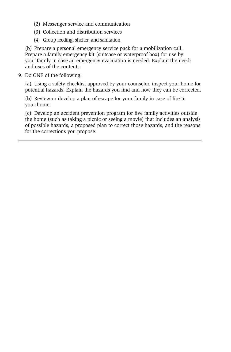- (2) Messenger service and communication
- (3) Collection and distribution services
- (4) Group feeding, shelter, and sanitation

(b) Prepare a personal emergency service pack for a mobilization call. Prepare a family emergency kit (suitcase or waterproof box) for use by your family in case an emergency evacuation is needed. Explain the needs and uses of the contents.

9. Do ONE of the following:

(a) Using a safety checklist approved by your counselor, inspect your home for potential hazards. Explain the hazards you find and how they can be corrected.

(b) Review or develop a plan of escape for your family in case of fire in your home.

(c) Develop an accident prevention program for five family activities outside the home (such as taking a picnic or seeing a movie) that includes an analysis of possible hazards, a proposed plan to correct those hazards, and the reasons for the corrections you propose.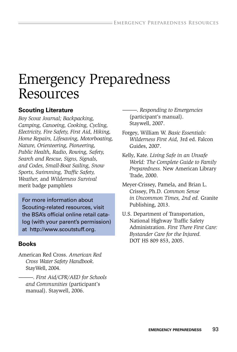## Emergency Preparedness Resources

#### **Scouting Literature**

*Boy Scout Journal; Backpacking, Camping, Canoeing, Cooking, Cycling, Electricity, Fire Safety, First Aid, Hiking, Home Repairs, Lifesaving, Motorboating, Nature, Orienteering, Pioneering, Public Health, Radio, Rowing, Safety, Search and Rescue, Signs, Signals, and Codes, Small-Boat Sailing, Snow Sports, Swimming, Traffic Safety, Weather,* and *Wilderness Survival*  merit badge pamphlets

For more information about Scouting-related resources, visit the BSA's official online retail catalog (with your parent's permission) at http://www.scoutstuff.org.

#### **Books**

American Red Cross. *American Red Cross Water Safety Handbook.* StayWell, 2004.

———. *First Aid/CPR/AED for Schools and Communities* (participant's manual). Staywell, 2006.

———. *Responding to Emergencies*  (participant's manual). Staywell, 2007.

- Forgey, William W. *Basic Essentials: Wilderness First Aid,* 3rd ed. Falcon Guides, 2007.
- Kelly, Kate. *Living Safe in an Unsafe World: The Complete Guide to Family Preparedness.* New American Library Trade, 2000.
- Meyer-Crissey, Pamela, and Brian L. Crissey, Ph.D. *Common Sense in Uncommon Times, 2nd ed.* Granite Publishing, 2013.
- U.S. Department of Transportation, National Highway Traffic Safety Administration. *First There First Care: Bystander Care for the Injured.* DOT HS 809 853, 2005.